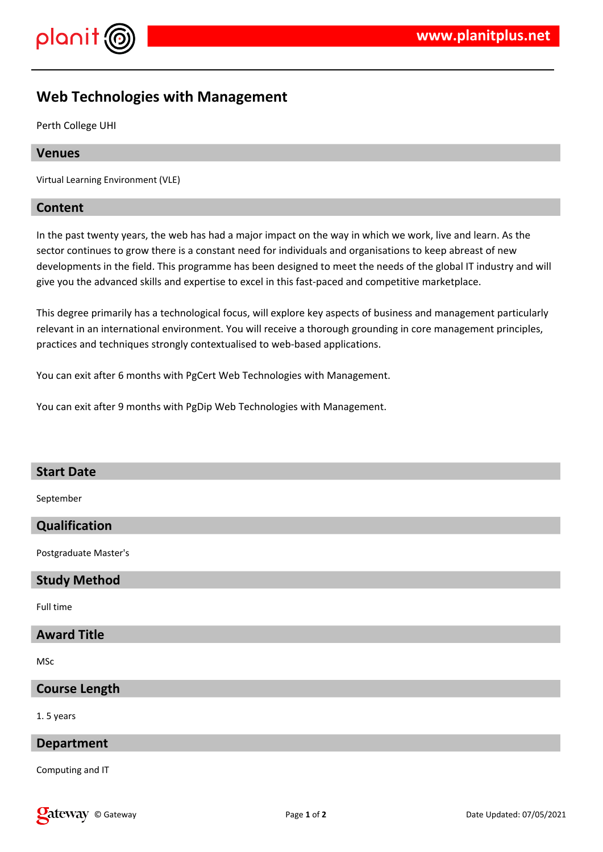



# **Web Technologies with Management**

Perth College UHI

#### **Venues**

Virtual Learning Environment (VLE)

## **Content**

In the past twenty years, the web has had a major impact on the way in which we work, live and learn. As the sector continues to grow there is a constant need for individuals and organisations to keep abreast of new developments in the field. This programme has been designed to meet the needs of the global IT industry and will give you the advanced skills and expertise to excel in this fast-paced and competitive marketplace.

This degree primarily has a technological focus, will explore key aspects of business and management particularly relevant in an international environment. You will receive a thorough grounding in core management principles, practices and techniques strongly contextualised to web-based applications.

You can exit after 6 months with PgCert Web Technologies with Management.

You can exit after 9 months with PgDip Web Technologies with Management.

#### **Start Date**

September

#### **Qualification**

Postgraduate Master's

#### **Study Method**

Full time

## **Award Title**

MSc

#### **Course Length**

1. 5 years

#### **Department**

Computing and IT